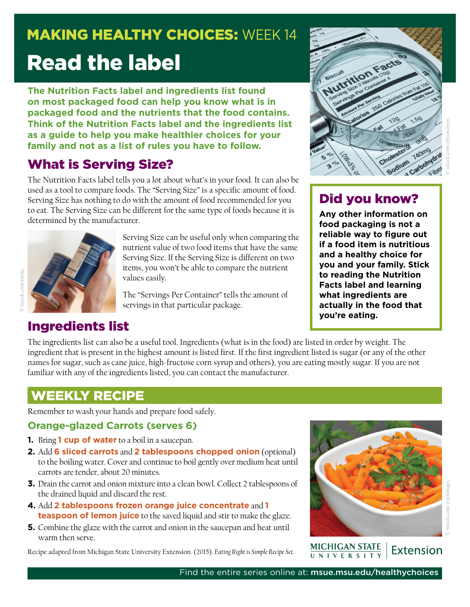# **MAKING HEALTHY CHOICES: WEEK 14** Read the label

**The Nutrition Facts label and ingredients list found on most packaged food can help you know what is in packaged food and the nutrients that the food contains. Think of the Nutrition Facts label and the ingredients list as a guide to help you make healthier choices for your family and not as a list of rules you have to follow.** 

## What is Serving Size?

The Nutrition Facts label tells you a lot about what's in your food. It can also be used as a tool to compare foods. The "Serving Size" is a specific amount of food. Serving Size has nothing to do with the amount of food recommended for you to eat. The Serving Size can be different for the same type of foods because it is determined by the manufacturer.



Serving Size can be useful only when comparing the nutrient value of two food items that have the same Serving Size. If the Serving Size is different on two items, you won't be able to compare the nutrient values easily.

The "Servings Per Container" tells the amount of servings in that particular package.



# © istock.com/chyenchyen

#### Did you know?

**Any other information on food packaging is not a reliable way to figure out if a food item is nutritious and a healthy choice for you and your family. Stick to reading the Nutrition Facts label and learning what ingredients are actually in the food that you're eating.**

#### Ingredients list

The ingredients list can also be a useful tool. Ingredients (what is in the food) are listed in order by weight. The ingredient that is present in the highest amount is listed first. If the first ingredient listed is sugar (or any of the other names for sugar, such as cane juice, high-fructose corn syrup and others), you are eating mostly sugar. If you are not familiar with any of the ingredients listed, you can contact the manufacturer.

#### WEEKLY RECIPE

Remember to wash your hands and prepare food safely.

#### **Orange-glazed Carrots (serves 6)**

- **1.** Bring **1 cup of water** to a boil in a saucepan.
- **2.** Add **6 sliced carrots** and **2 tablespoons chopped onion** (optional) to the boiling water. Cover and continue to boil gently over medium heat until carrots are tender, about 20 minutes.
- **3.** Drain the carrot and onion mixture into a clean bowl. Collect 2 tablespoons of the drained liquid and discard the rest.
- **4.** Add **2 tablespoons frozen orange juice concentrate** and **1 teaspoon of lemon juice** to the saved liquid and stir to make the glaze.
- **5.** Combine the glaze with the carrot and onion in the saucepan and heat until warm then serve.

Recipe adapted from Michigan State University Extension. (2015). *Eating Right is Simple Recipe Set*.



#### **MICHIGAN STATE** Extension NIVERSIT